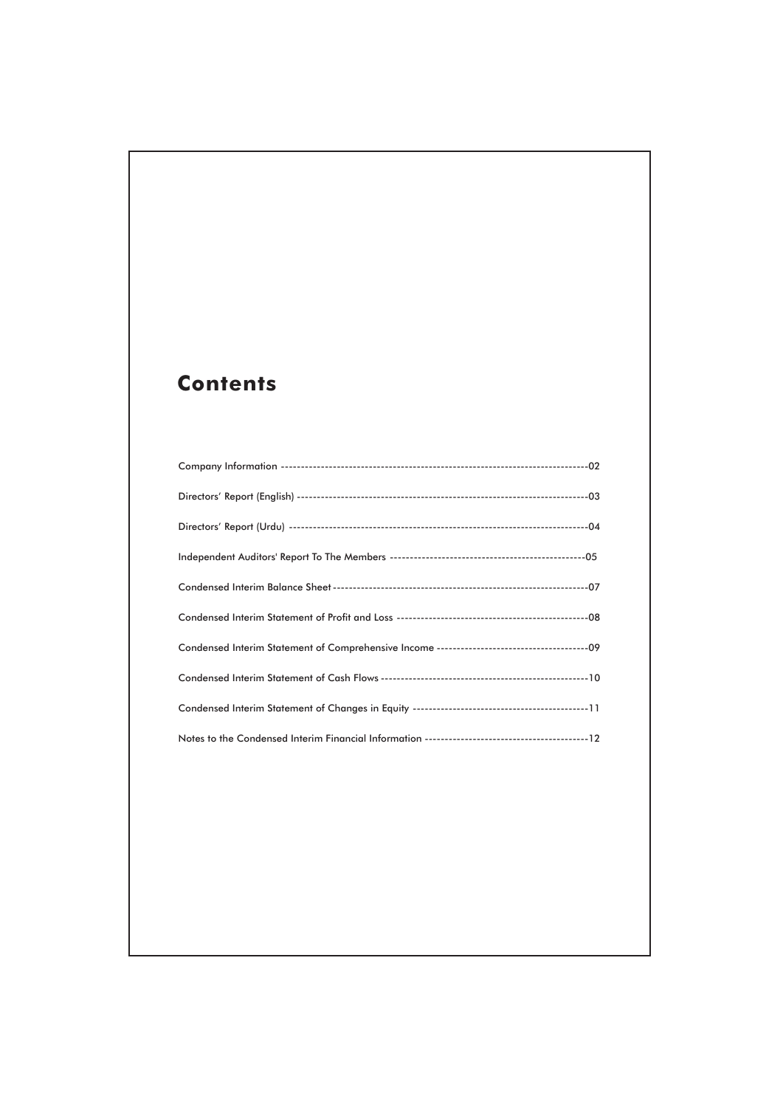## **Contents**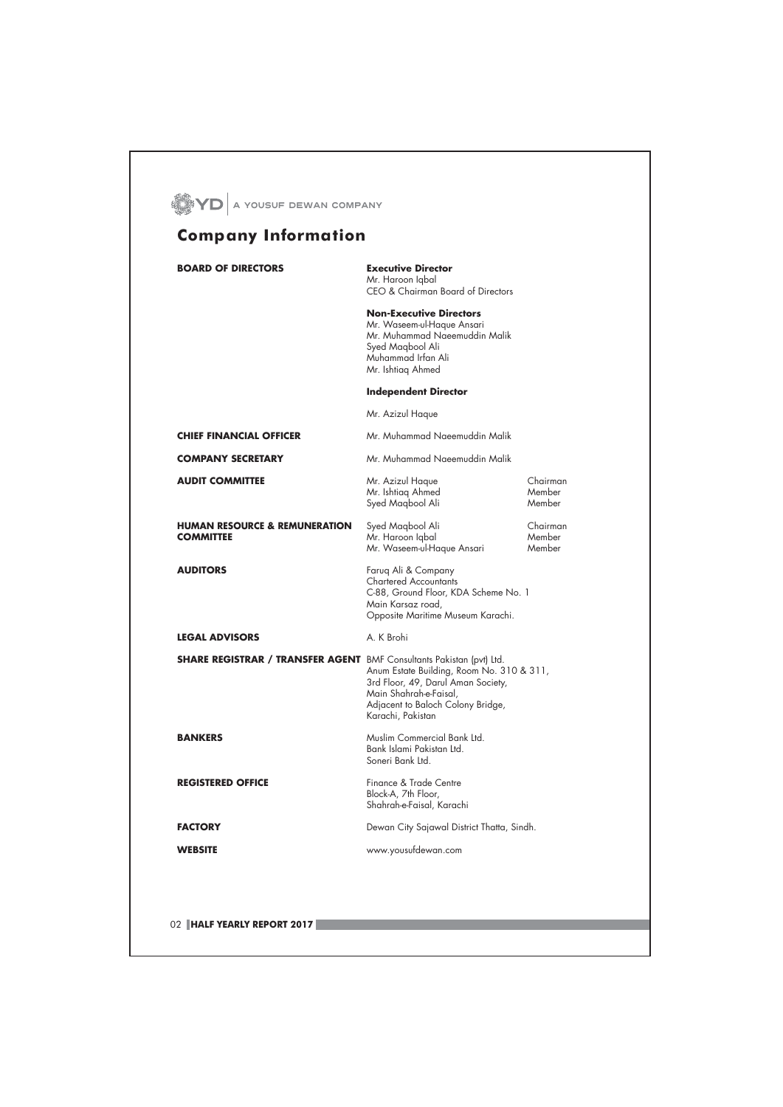| <b>BOARD OF DIRECTORS</b>                                                   | <b>Executive Director</b><br>Mr. Haroon Igbal<br>CEO & Chairman Board of Directors                                                                                  |                              |
|-----------------------------------------------------------------------------|---------------------------------------------------------------------------------------------------------------------------------------------------------------------|------------------------------|
|                                                                             | <b>Non-Executive Directors</b><br>Mr. Waseem-ul-Haque Ansari<br>Mr. Muhammad Naeemuddin Malik<br>Syed Magbool Ali<br>Muhammad Irfan Ali<br>Mr. Ishtiag Ahmed        |                              |
|                                                                             | <b>Independent Director</b>                                                                                                                                         |                              |
|                                                                             | Mr. Azizul Haque                                                                                                                                                    |                              |
| <b>CHIEF FINANCIAL OFFICER</b>                                              | Mr. Muhammad Naeemuddin Malik                                                                                                                                       |                              |
| <b>COMPANY SECRETARY</b>                                                    | Mr. Muhammad Naeemuddin Malik                                                                                                                                       |                              |
| <b>AUDIT COMMITTEE</b>                                                      | Mr. Azizul Haque<br>Mr. Ishtiag Ahmed<br>Syed Magbool Ali                                                                                                           | Chairman<br>Member<br>Member |
| <b>HUMAN RESOURCE &amp; REMUNERATION</b><br><b>COMMITTEE</b>                | Syed Maqbool Ali<br>Mr. Haroon Iqbal<br>Mr. Waseem-ul-Haque Ansari                                                                                                  | Chairman<br>Member<br>Member |
| <b>AUDITORS</b>                                                             | Faruq Ali & Company<br><b>Chartered Accountants</b><br>C-88, Ground Floor, KDA Scheme No. 1<br>Main Karsaz road,<br>Opposite Maritime Museum Karachi.               |                              |
| <b>LEGAL ADVISORS</b>                                                       | A. K Brohi                                                                                                                                                          |                              |
| <b>SHARE REGISTRAR / TRANSFER AGENT</b> BMF Consultants Pakistan (pvt) Ltd. | Anum Estate Building, Room No. 310 & 311,<br>3rd Floor, 49, Darul Aman Society,<br>Main Shahrah-e-Faisal,<br>Adjacent to Baloch Colony Bridge,<br>Karachi, Pakistan |                              |
| <b>BANKERS</b>                                                              | Muslim Commercial Bank Ltd.<br>Bank Islami Pakistan Ltd.<br>Soneri Bank Ltd.                                                                                        |                              |
| <b>REGISTERED OFFICE</b>                                                    | Finance & Trade Centre<br>Block-A, 7th Floor,<br>Shahrah-e-Faisal, Karachi                                                                                          |                              |
| <b>FACTORY</b>                                                              | Dewan City Sajawal District Thatta, Sindh.                                                                                                                          |                              |
| <b>WEBSITE</b>                                                              | www.yousufdewan.com                                                                                                                                                 |                              |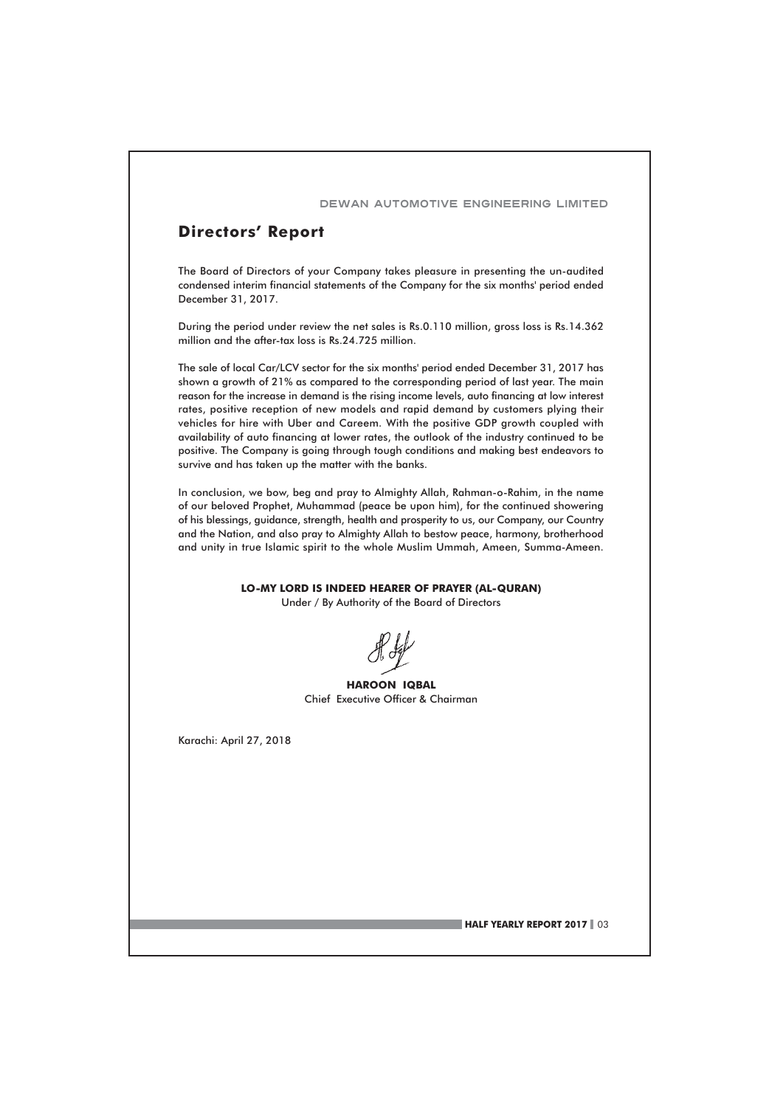#### **Directors' Report**

The Board of Directors of your Company takes pleasure in presenting the un-audited condensed interim financial statements of the Company for the six months' period ended December 31, 2017.

During the period under review the net sales is Rs.0.110 million, gross loss is Rs.14.362 million and the after-tax loss is Rs.24.725 million.

The sale of local Car/LCV sector for the six months' period ended December 31, 2017 has shown a growth of 21% as compared to the corresponding period of last year. The main reason for the increase in demand is the rising income levels, auto financing at low interest rates, positive reception of new models and rapid demand by customers plying their vehicles for hire with Uber and Careem. With the positive GDP growth coupled with availability of auto financing at lower rates, the outlook of the industry continued to be positive. The Company is going through tough conditions and making best endeavors to survive and has taken up the matter with the banks.

In conclusion, we bow, beg and pray to Almighty Allah, Rahman-o-Rahim, in the name of our beloved Prophet, Muhammad (peace be upon him), for the continued showering of his blessings, guidance, strength, health and prosperity to us, our Company, our Country and the Nation, and also pray to Almighty Allah to bestow peace, harmony, brotherhood and unity in true Islamic spirit to the whole Muslim Ummah, Ameen, Summa-Ameen.

LO-MY LORD IS INDEED HEARER OF PRAYER (AL-QURAN)

Under / By Authority of the Board of Directors

**HAROON IQBAL** Chief Executive Officer & Chairman

Karachi: April 27, 2018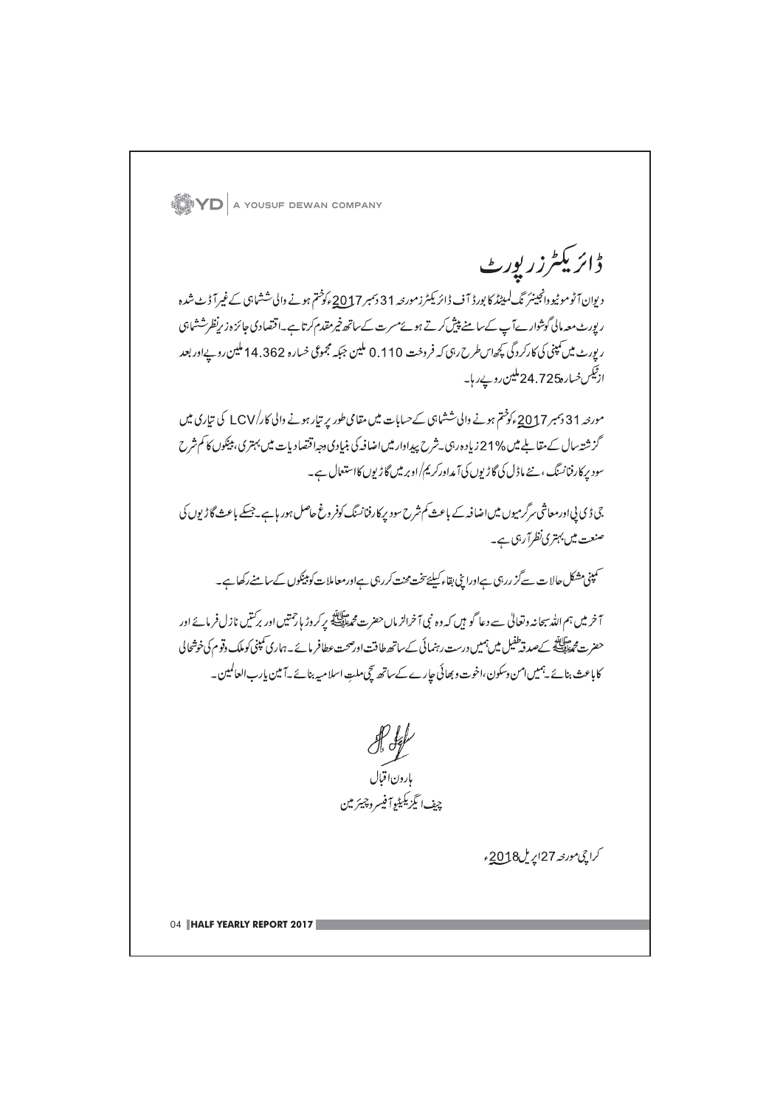**YD** A YOUSUF DEWAN COMPANY ڈائریکٹرزر پورٹ دیوان آٹوموٹیووانجینئر نگ لمیٹڈ کا بورڈ آف ڈائریکٹرزمورجہ 31 دسمبر2017ء کوختم ہونے والی ششاہی کے غیرآ ڈٹ شدہ ر پورٹ معہ مالی گوشوارےآپ کے سامنے پیش کرتے ہوئے مسرت کے ساتھ خیر مقدم کرتا ہے۔اقتصادی جائزہ زیرنظرششاہی ر پورٹ میں کمپنی کی کارکردگی کچھاس طرح رہی کہ فروخت 110 .0 ملین جبکہ مجموعی خسارہ 362 .14 ملین روپےاور بعد از<sup>ٹیکس خ</sup>سارہ24.725 ملین روپے رہا۔ مورحہ 31 دسمبر 2<u>01</u>7ء کو ختم ہونے والی ششاہی کے حسابات میں مقامی طور پر تیار ہونے والی کار/LCV کی تیاری میں گز شتہ سال کے متنا بلے میں %21 زیادہ رہی ۔شرح پیداوار میں اضافہ کی بنیادی دجہاقتصاد پات میں پہتری، پیکوں کا کم شرح سود برکارفنانسنگ ، نئے ماڈل کی گاڑیوں کی آمداورکریم/اوبر میں گاڑیوں کااستعال ہے۔ جی ڈی پی اورمعاشی سرگرمیوں میں اضافہ کے باعث کم شرح سود برکارفنانسنگ کوفر وغ حاصل ہور ہاہے۔جسکے باعث گاڑیوں کی صنعت میں بہتری نظرآ رہی ہے۔ ۔<br>سمپنی مشکل حالات سےگز ررہی ہےاورا پنی بقاء کیلئے تنحت محنت کررہی ہےاورمعاملات کو پیکوں کے سامنے رکھا ہے۔ ۔<br>آخر میں ہم اللہ سپحانہ وتعالیٰ سے دعا گو ہیں کہ وہ نبی آخرالز ماں حضرت مجھنگ کیے کہ کروڑ ہا رشتیں اور برکتیں نازل فرمائے اور حضرت محطِّيِّيَّة كےصدقہ طفیل میں ہمیں درست رہنمائی کےساتھ طاقت اورصحت عطافر مائے۔ہماری کمپنی کوملک وقوم کی خوشحالی کاباعث بنائے یہمیں امن وسکون،اخوت و بھائی جارے کےساتھ گچی ملت اسلامیہ بنائے آمین پارب العالمین۔ ہارون اقبال چف ایگزیکیٹیوآفیسروچیئر مین کراچي مورنته 27اپر مل2018ء 04 HALF YEARLY REPORT 2017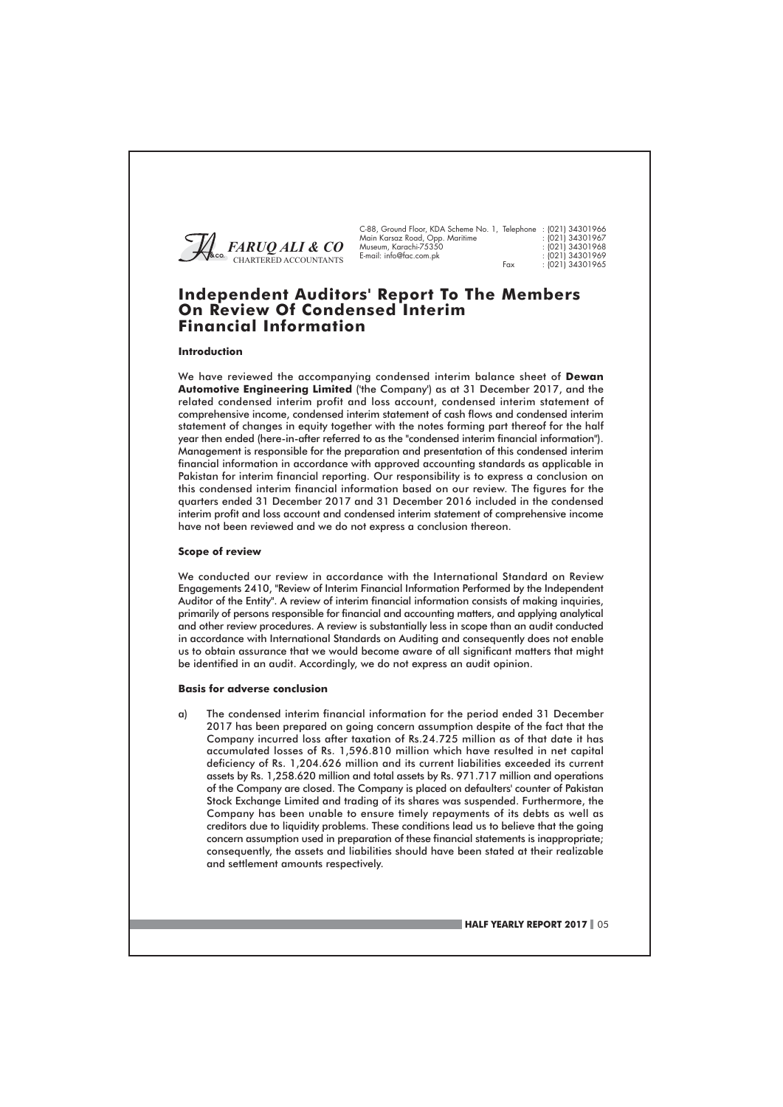

| 88, Ground Floor, KDA Scheme No. 1, Telephone : (021) 34301966 |                  |
|----------------------------------------------------------------|------------------|
| ain Karsaz Road, Opp. Maritime                                 | : 1021134301967  |
| useum, Karachi-75350                                           | : (021) 34301968 |
| mail: info@fac.com.pk                                          | : (021) 34301969 |
|                                                                | 10011212227      |

#### **Independent Auditors' Report To The Members** On Review Of Condensed Interim **Financial Information**

#### Introduction

We have reviewed the accompanying condensed interim balance sheet of Dewan Automotive Engineering Limited ('the Company') as at 31 December 2017, and the related condensed interim profit and loss account, condensed interim statement of comprehensive income, condensed interim statement of cash flows and condensed interim statement of changes in equity together with the notes forming part thereof for the half year then ended (here-in-after referred to as the "condensed interim financial information"). Management is responsible for the preparation and presentation of this condensed interim financial information in accordance with approved accounting standards as applicable in Pakistan for interim financial reporting. Our responsibility is to express a conclusion on this condensed interim financial information based on our review. The figures for the augrters ended 31 December 2017 and 31 December 2016 included in the condensed interim profit and loss account and condensed interim statement of comprehensive income have not been reviewed and we do not express a conclusion thereon.

#### **Scope of review**

We conducted our review in accordance with the International Standard on Review Engagements 2410, "Review of Interim Financial Information Performed by the Independent Auditor of the Entity". A review of interim financial information consists of making inquiries, primarily of persons responsible for financial and accounting matters, and applying analytical and other review procedures. A review is substantially less in scope than an audit conducted in accordance with International Standards on Auditing and consequently does not enable us to obtain assurance that we would become aware of all significant matters that might be identified in an audit. Accordingly, we do not express an audit opinion.

#### **Basis for adverse conclusion**

The condensed interim financial information for the period ended 31 December  $\alpha$ 2017 has been prepared on going concern assumption despite of the fact that the Company incurred loss after taxation of Rs.24.725 million as of that date it has accumulated losses of Rs. 1,596.810 million which have resulted in net capital deficiency of Rs. 1,204.626 million and its current liabilities exceeded its current assets by Rs. 1,258.620 million and total assets by Rs. 971.717 million and operations of the Company are closed. The Company is placed on defaulters' counter of Pakistan Stock Exchange Limited and trading of its shares was suspended. Furthermore, the Company has been unable to ensure timely repayments of its debts as well as creditors due to liquidity problems. These conditions lead us to believe that the going concern assumption used in preparation of these financial statements is inappropriate; consequently, the assets and liabilities should have been stated at their realizable and settlement amounts respectively.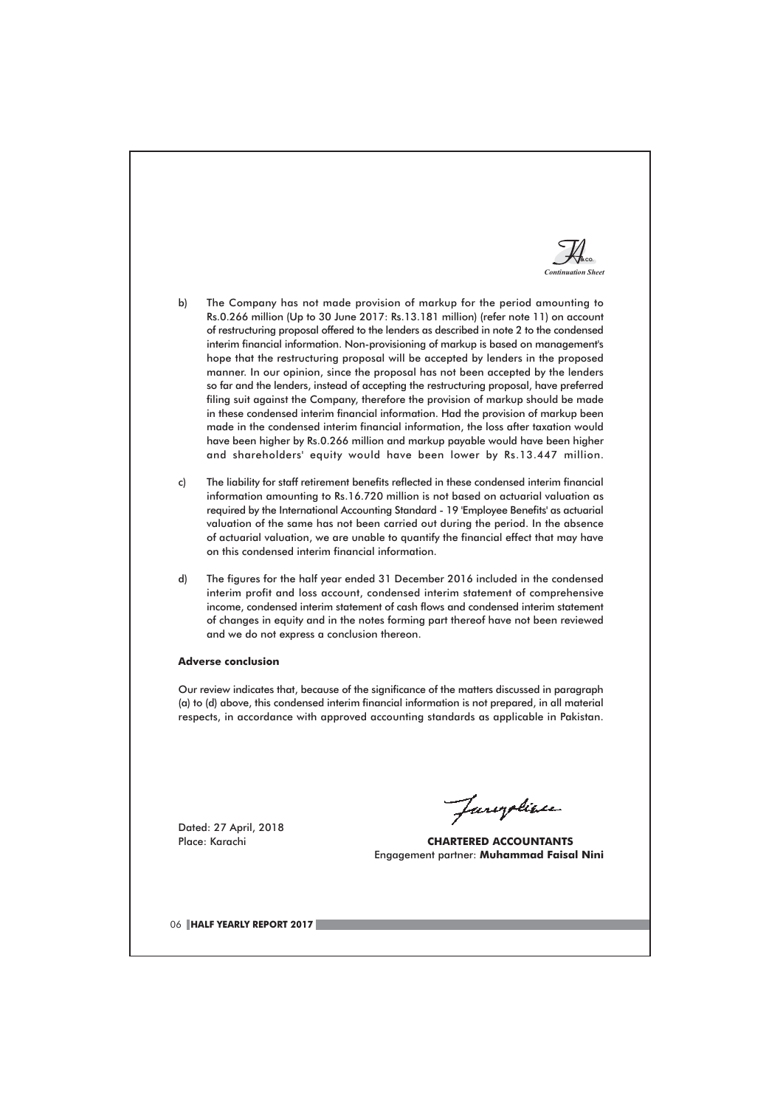

- $\mathsf{b}$ The Company has not made provision of markup for the period amounting to Rs.0.266 million (Up to 30 June 2017: Rs.13.181 million) (refer note 11) on account of restructuring proposal offered to the lenders as described in note 2 to the condensed interim financial information. Non-provisioning of markup is based on management's hope that the restructuring proposal will be accepted by lenders in the proposed manner. In our opinion, since the proposal has not been accepted by the lenders so far and the lenders, instead of accepting the restructuring proposal, have preferred filing suit against the Company, therefore the provision of markup should be made in these condensed interim financial information. Had the provision of markup been made in the condensed interim financial information, the loss after taxation would have been higher by Rs.0.266 million and markup payable would have been higher and shareholders' equity would have been lower by Rs.13.447 million.
- c) The liability for staff retirement benefits reflected in these condensed interim financial information amounting to Rs.16.720 million is not based on actuarial valuation as required by the International Accounting Standard - 19 'Employee Benefits' as actuarial valuation of the same has not been carried out during the period. In the absence of actuarial valuation, we are unable to quantify the financial effect that may have on this condensed interim financial information.
- The figures for the half year ended 31 December 2016 included in the condensed  $d$ interim profit and loss account, condensed interim statement of comprehensive income, condensed interim statement of cash flows and condensed interim statement of changes in equity and in the notes forming part thereof have not been reviewed and we do not express a conclusion thereon.

#### **Adverse conclusion**

Our review indicates that, because of the significance of the matters discussed in paragraph (a) to (d) above, this condensed interim financial information is not prepared, in all material respects, in accordance with approved accounting standards as applicable in Pakistan.

Dated: 27 April, 2018 Place: Karachi

Jaropline

**CHARTERED ACCOUNTANTS** Engagement partner: Muhammad Faisal Nini

06 HALF YEARLY REPORT 2017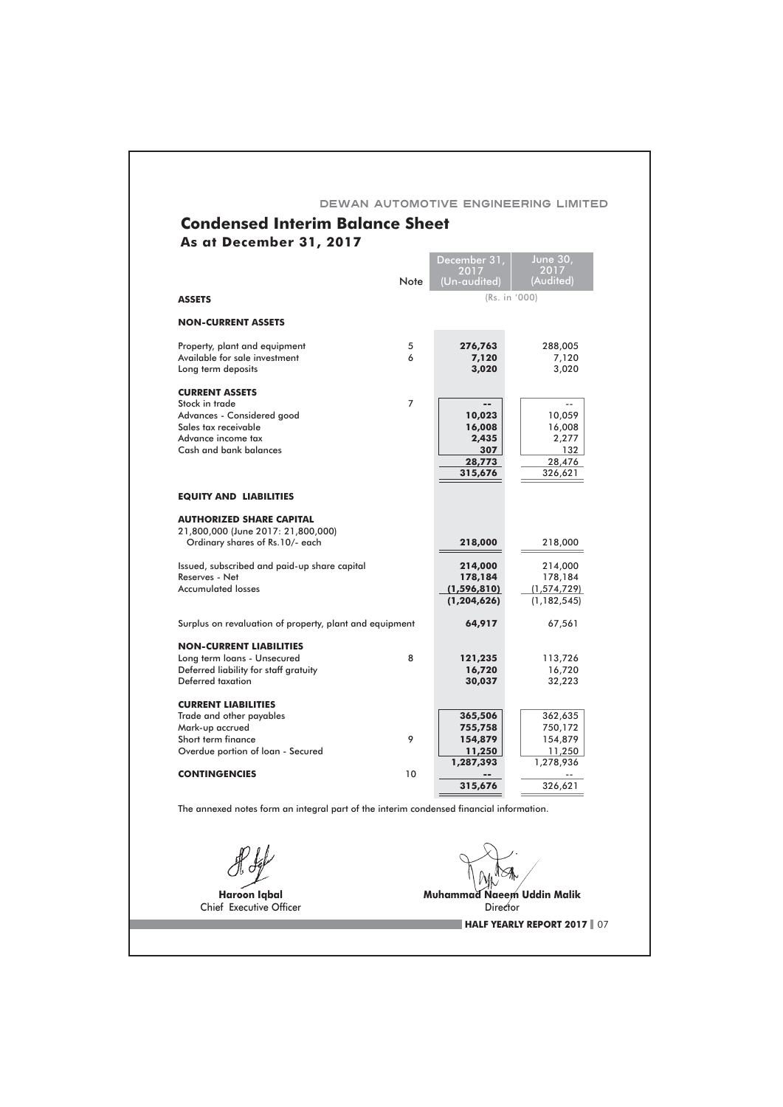| <b>Condensed Interim Balance Sheet</b>                  |                 | DEWAN AUTOMOTIVE ENGINEERING LIMITED |                         |
|---------------------------------------------------------|-----------------|--------------------------------------|-------------------------|
| As at December 31, 2017                                 |                 |                                      |                         |
|                                                         |                 | December 31,<br>2017                 | <b>June 30,</b><br>2017 |
|                                                         | Note            | (Un-audited)                         | (Audited)               |
| <b>ASSETS</b>                                           |                 | (Rs. in '000)                        |                         |
| <b>NON-CURRENT ASSETS</b>                               |                 |                                      |                         |
| Property, plant and equipment                           | 5               | 276,763                              | 288,005                 |
| Available for sale investment                           | 6               | 7,120                                | 7,120                   |
| Long term deposits                                      |                 | 3,020                                | 3,020                   |
| <b>CURRENT ASSETS</b>                                   |                 |                                      |                         |
| Stock in trade                                          | 7               | $\overline{a}$                       | $-$                     |
| Advances - Considered good                              |                 | 10,023                               | 10,059                  |
| Sales tax receivable                                    |                 | 16,008                               | 16,008                  |
| Advance income tax<br>Cash and bank balances            |                 | 2,435<br>307                         | 2,277<br>132            |
|                                                         |                 | 28,773                               | 28,476                  |
|                                                         |                 | 315,676                              | 326,621                 |
|                                                         |                 |                                      |                         |
| <b>EQUITY AND LIABILITIES</b>                           |                 |                                      |                         |
| <b>AUTHORIZED SHARE CAPITAL</b>                         |                 |                                      |                         |
| 21,800,000 (June 2017: 21,800,000)                      |                 |                                      |                         |
| Ordinary shares of Rs.10/- each                         |                 | 218,000                              | 218,000                 |
| Issued, subscribed and paid-up share capital            |                 | 214,000                              | 214,000                 |
| Reserves - Net                                          |                 | 178,184                              | 178,184                 |
| <b>Accumulated losses</b>                               |                 | (1, 596, 810)                        | (1, 574, 729)           |
|                                                         |                 | (1, 204, 626)                        | (1, 182, 545)           |
| Surplus on revaluation of property, plant and equipment |                 | 64,917                               | 67,561                  |
| <b>NON-CURRENT LIABILITIES</b>                          |                 |                                      |                         |
| Long term loans - Unsecured                             | 8               | 121,235                              | 113,726                 |
| Deferred liability for staff gratuity                   |                 | 16,720                               | 16,720                  |
| Deferred taxation                                       |                 | 30,037                               | 32,223                  |
| <b>CURRENT LIABILITIES</b>                              |                 |                                      |                         |
| Trade and other payables                                |                 | 365,506                              | 362,635                 |
| Mark-up accrued                                         |                 | 755,758                              | 750,172                 |
| Short term finance                                      | 9               | 154,879                              | 154,879                 |
| Overdue portion of loan - Secured                       |                 | 11,250                               | 11,250                  |
| <b>CONTINGENCIES</b>                                    | 10 <sup>°</sup> | 1,287,393                            | 1,278,936               |
|                                                         |                 | 315,676                              | 326,621                 |

 $\mathcal{R}$ 

Haroon Iqbal<br>Chief Executive Officer

Muhammad Naeem Uddin Malik<br>Director<br>Number 201 **HALF YEARLY REPORT 2017** 07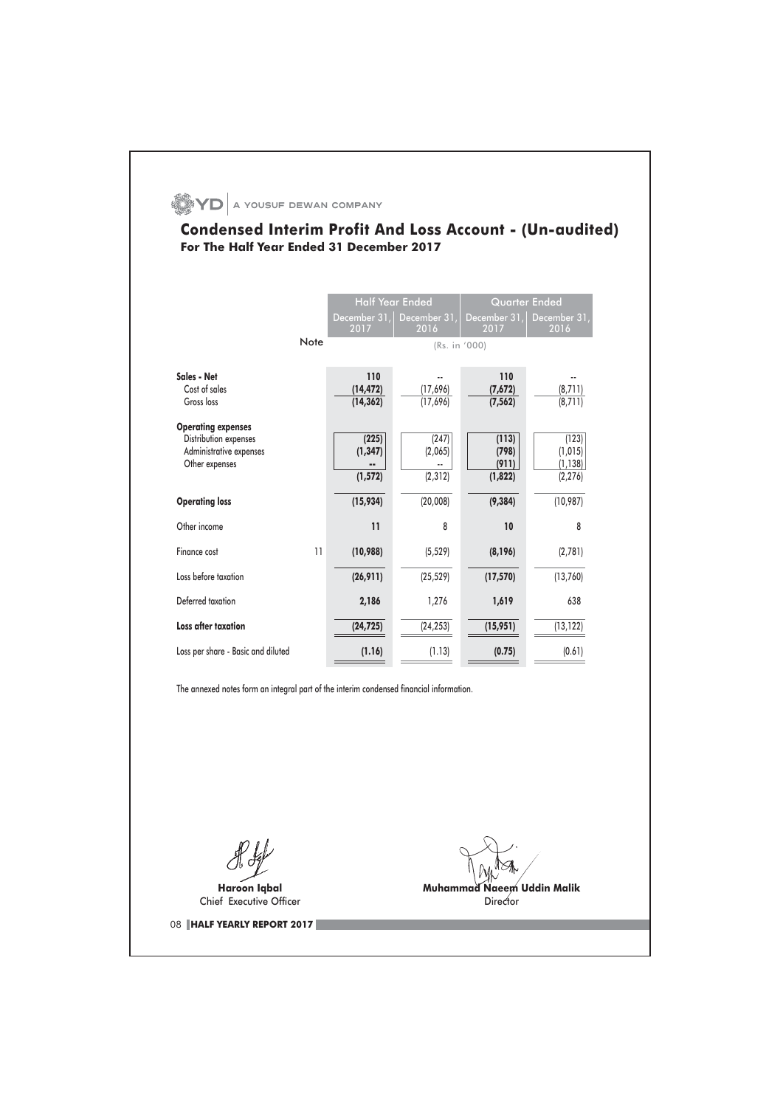# $\bullet$  YD  $\vert$  a yousuf dewan company

## **Condensed Interim Profit And Loss Account - (Un-audited)** For The Half Year Ended 31 December 2017

|                                                                                                 | <b>Half Year Ended</b>        |                              | <b>Quarter Ended</b>               |                                           |  |
|-------------------------------------------------------------------------------------------------|-------------------------------|------------------------------|------------------------------------|-------------------------------------------|--|
|                                                                                                 | December 31,<br>2017          | December 31,<br>2016         | December 31,<br>2017               | December 31,<br>2016                      |  |
| Note                                                                                            |                               | (Rs. in '000)                |                                    |                                           |  |
| Sales - Net<br>Cost of sales<br>Gross loss                                                      | 110<br>(14, 472)<br>(14, 362) | (17,696)<br>(17,696)         | 110<br>(7,672)<br>(7, 562)         | (8, 711)<br>(8, 711)                      |  |
| <b>Operating expenses</b><br>Distribution expenses<br>Administrative expenses<br>Other expenses | (225)<br>(1, 347)<br>(1, 572) | (247)<br>(2,065)<br>(2, 312) | (113)<br>(798)<br>(911)<br>(1,822) | (123)<br>(1, 015)<br>(1, 138)<br>(2, 276) |  |
| <b>Operating loss</b>                                                                           | (15, 934)                     | (20,008)                     | (9, 384)                           | (10, 987)                                 |  |
| Other income                                                                                    | 11                            | 8                            | 10                                 | 8                                         |  |
| Finance cost<br>11                                                                              | (10,988)                      | (5, 529)                     | (8, 196)                           | (2,781)                                   |  |
| Loss before taxation                                                                            | (26, 911)                     | (25, 529)                    | (17, 570)                          | (13,760)                                  |  |
| Deferred taxation                                                                               | 2,186                         | 1,276                        | 1,619                              | 638                                       |  |
| <b>Loss after taxation</b>                                                                      | (24, 725)                     | (24, 253)                    | (15, 951)                          | (13, 122)                                 |  |
| Loss per share - Basic and diluted                                                              | (1.16)                        | (1.13)                       | (0.75)                             | (0.61)                                    |  |

The annexed notes form an integral part of the interim condensed financial information.

Haroon Iqbal Chief Executive Officer

08 HALF YEARLY REPORT 2017

Muhammad Naeem Uddin Malik Director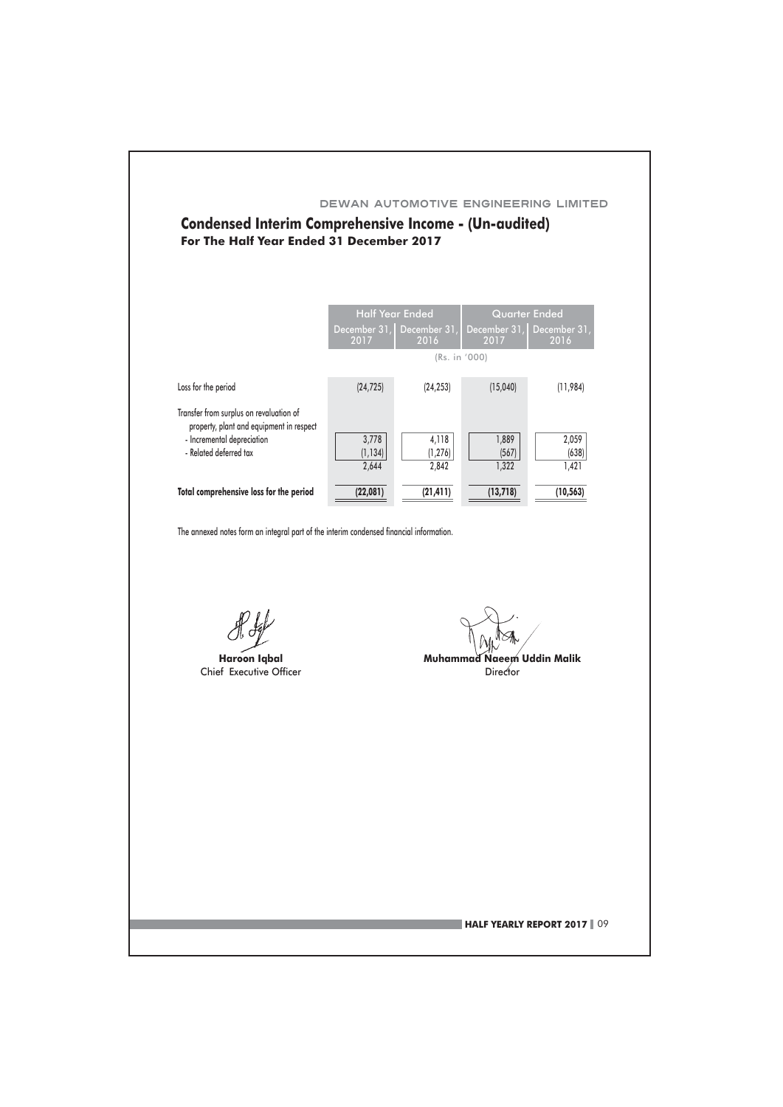## **Condensed Interim Comprehensive Income - (Un-audited)** For The Half Year Ended 31 December 2017

|                                                                                                                                             |                            | <b>Half Year Ended</b>            | <b>Quarter Ended</b>    |                         |  |
|---------------------------------------------------------------------------------------------------------------------------------------------|----------------------------|-----------------------------------|-------------------------|-------------------------|--|
|                                                                                                                                             | 2017                       | December 31, December 31,<br>2016 | December 31,<br>2017    | December 31,<br>2016    |  |
|                                                                                                                                             |                            | (Rs. in '000)                     |                         |                         |  |
| Loss for the period                                                                                                                         | (24, 725)                  | (24, 253)                         | (15,040)                | (11, 984)               |  |
| Transfer from surplus on revaluation of<br>property, plant and equipment in respect<br>- Incremental depreciation<br>- Related deferred tax | 3,778<br>(1, 134)<br>2.644 | 4,118<br>(1, 276)<br>2.842        | 1,889<br>(567)<br>1.322 | 2,059<br>(638)<br>1,421 |  |
| Total comprehensive loss for the period                                                                                                     | (22,081)                   | (21, 411)                         | (13, 718)               | (10, 563)               |  |

The annexed notes form an integral part of the interim condensed financial information.

Haroon Iabal Chief Executive Officer

Muhammad Naeem Uddin Malik Director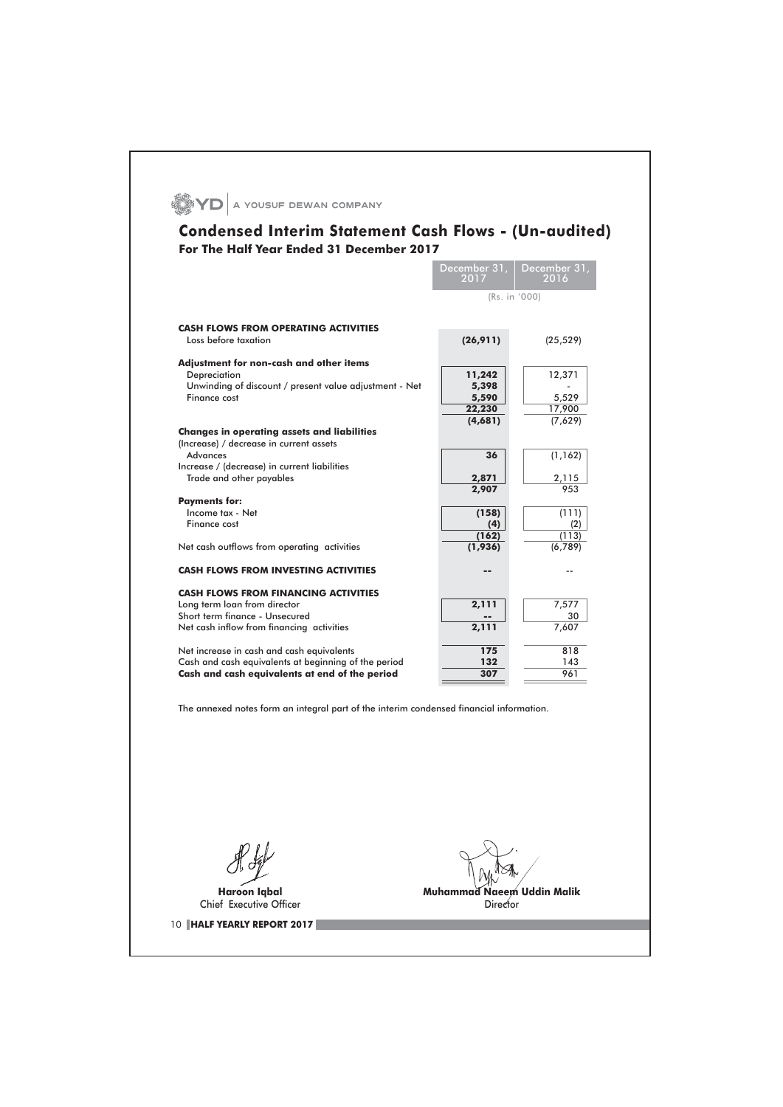|                                                                                                        | December 31,<br>2017 | December 31,<br>2016     |
|--------------------------------------------------------------------------------------------------------|----------------------|--------------------------|
|                                                                                                        | (Rs. in '000)        |                          |
| <b>CASH FLOWS FROM OPERATING ACTIVITIES</b>                                                            |                      |                          |
| Loss before taxation                                                                                   | (26, 911)            | (25, 529)                |
| Adjustment for non-cash and other items                                                                |                      |                          |
| Depreciation<br>Unwinding of discount / present value adjustment - Net                                 | 11,242<br>5,398      | 12,371                   |
| Finance cost                                                                                           | 5,590                | 5,529                    |
|                                                                                                        | 22,230               | 17,900                   |
| <b>Changes in operating assets and liabilities</b>                                                     | (4,681)              | (7,629)                  |
| (Increase) / decrease in current assets                                                                |                      |                          |
| <b>Advances</b><br>Increase / (decrease) in current liabilities                                        | 36                   | (1, 162)                 |
| Trade and other payables                                                                               | 2,871                | 2,115                    |
|                                                                                                        | 2,907                | 953                      |
| <b>Payments for:</b><br>Income tax - Net                                                               | (158)                | (111)                    |
| Finance cost                                                                                           | (4)                  | (2)                      |
| Net cash outflows from operating activities                                                            | (162)<br>(1,936)     | (113)<br>(6, 789)        |
|                                                                                                        |                      |                          |
| <b>CASH FLOWS FROM INVESTING ACTIVITIES</b>                                                            |                      | $\overline{\phantom{a}}$ |
| <b>CASH FLOWS FROM FINANCING ACTIVITIES</b>                                                            |                      |                          |
| Long term loan from director                                                                           | 2,111                | 7,577                    |
| Short term finance - Unsecured<br>Net cash inflow from financing activities                            | 2,111                | 30<br>7,607              |
|                                                                                                        |                      |                          |
| Net increase in cash and cash equivalents                                                              | 175                  | 818                      |
| Cash and cash equivalents at beginning of the period<br>Cash and cash equivalents at end of the period | 132<br>307           | 143<br>961               |
|                                                                                                        |                      |                          |
| The annexed notes form an integral part of the interim condensed financial information.                |                      |                          |
|                                                                                                        |                      |                          |
|                                                                                                        |                      |                          |
|                                                                                                        |                      |                          |
|                                                                                                        |                      |                          |
|                                                                                                        |                      |                          |
|                                                                                                        |                      |                          |
|                                                                                                        |                      |                          |
| <b>Haroon Igbal</b><br>Chief Executive Officer                                                         | Muhamma<br>Director  | leem Uddin Malik         |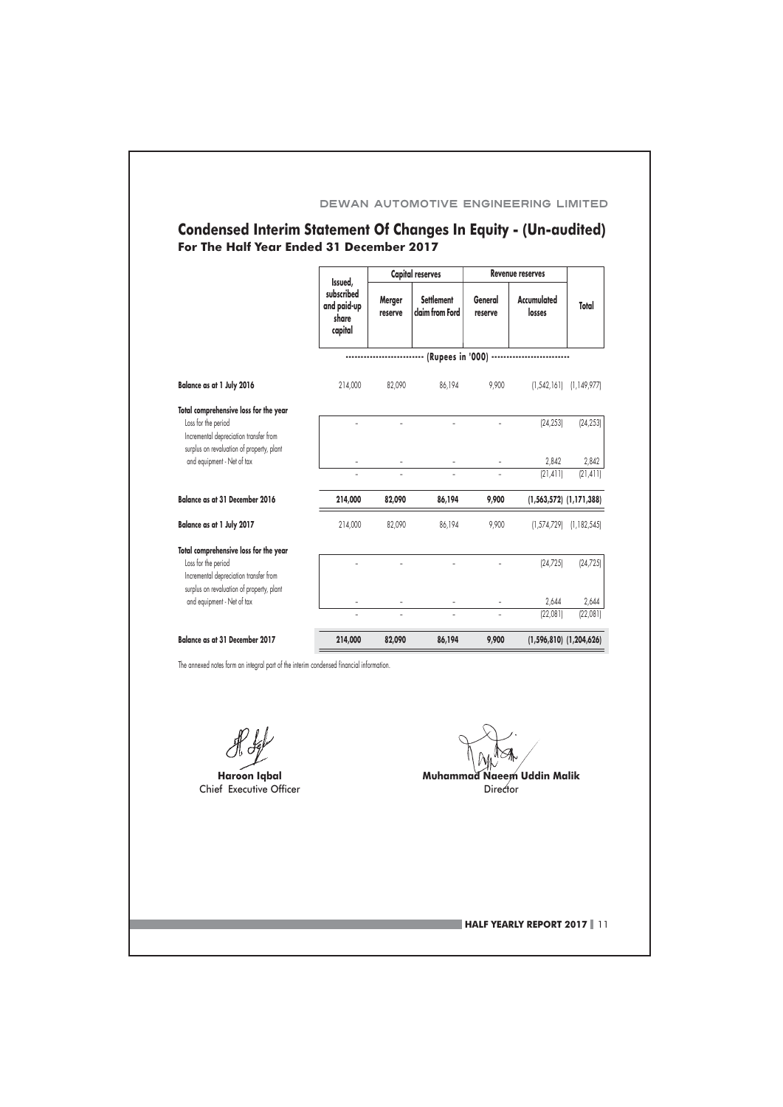# Condensed Interim Statement Of Changes In Equity - (Un-audited)<br>For The Half Year Ended 31 December 2017

|                                                                                                        | Issued,<br>subscribed<br>and paid-up<br>share<br>capital | <b>Capital reserves</b>                |                                      | <b>Revenue reserves</b> |                       |                             |
|--------------------------------------------------------------------------------------------------------|----------------------------------------------------------|----------------------------------------|--------------------------------------|-------------------------|-----------------------|-----------------------------|
|                                                                                                        |                                                          | Merger<br>reserve                      | <b>Settlement</b><br>claim from Ford | General<br>reserve      | Accumulated<br>losses | Total                       |
|                                                                                                        |                                                          |                                        | (Rupees in '000)                     |                         |                       |                             |
| Balance as at 1 July 2016                                                                              | 214,000                                                  | 82,090                                 | 86,194                               | 9,900                   | (1, 542, 161)         | (1, 149, 977)               |
| Total comprehensive loss for the year<br>Loss for the period<br>Incremental depreciation transfer from |                                                          |                                        |                                      |                         | [24, 253]             | [24, 253]                   |
| surplus on revaluation of property, plant<br>and equipment - Net of tax                                |                                                          |                                        |                                      |                         | 2,842                 | 2,842                       |
|                                                                                                        |                                                          |                                        |                                      |                         | (21, 411)             | (21, 411)                   |
| <b>Balance as at 31 December 2016</b>                                                                  | 214,000                                                  | 82,090                                 | 86,194                               | 9,900                   |                       | $(1,563,572)$ $(1,171,388)$ |
| Balance as at 1 July 2017                                                                              | 214,000                                                  | 82,090                                 | 86,194                               | 9,900                   | (1,574,729)           | (1, 182, 545)               |
| Total comprehensive loss for the year<br>Loss for the period<br>Incremental depreciation transfer from |                                                          |                                        |                                      |                         | [24, 725]             | (24, 725)                   |
| surplus on revaluation of property, plant<br>and equipment - Net of tax                                |                                                          |                                        |                                      |                         | 2,644                 | 2,644                       |
|                                                                                                        |                                                          |                                        |                                      |                         | (22,081)              | (22,081)                    |
| <b>Balance as at 31 December 2017</b>                                                                  | 214,000                                                  | 82,090                                 | 86,194                               | 9,900                   |                       | $(1,596,810)$ $(1,204,626)$ |
| The annexed notes form an integral part of the interim condensed financial information.                |                                                          |                                        |                                      |                         |                       |                             |
|                                                                                                        |                                                          |                                        |                                      |                         |                       |                             |
| <b>Haroon Igbal</b><br>Chief Executive Officer                                                         |                                                          | Muhammad Naeem Uddin Malik<br>Director |                                      |                         |                       |                             |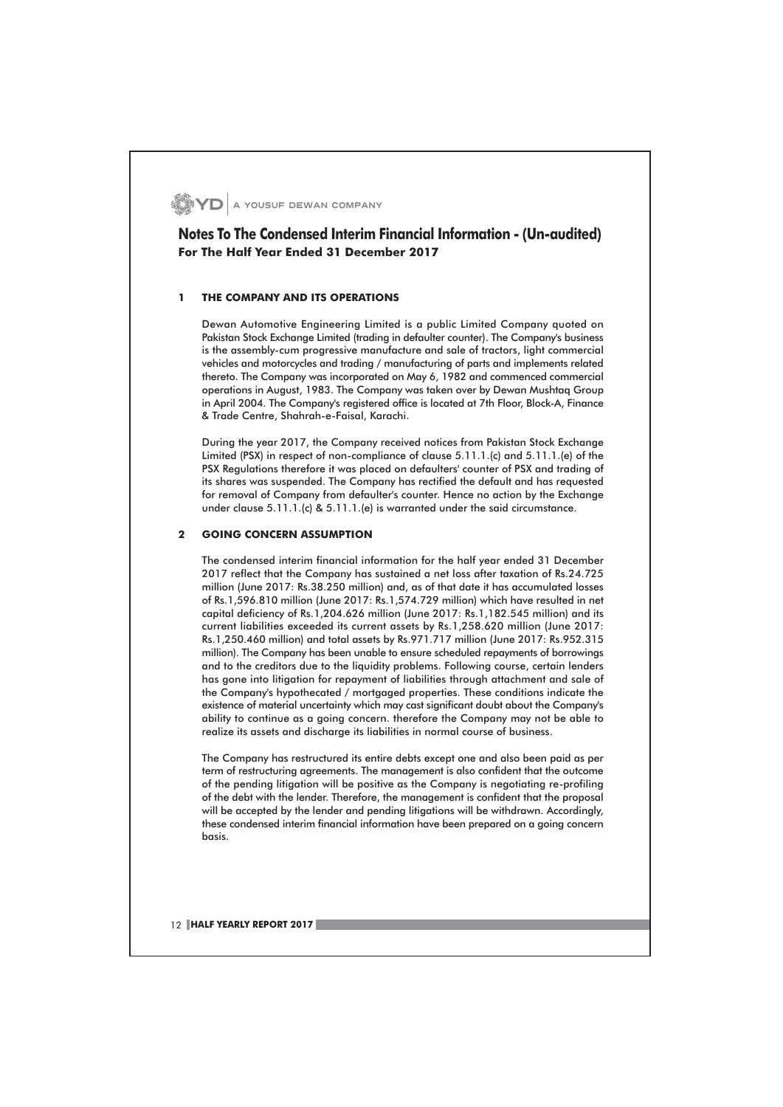**YD** A YOUSUF DEWAN COMPANY

#### Notes To The Condensed Interim Financial Information - (Un-audited) For The Half Year Ended 31 December 2017

#### THE COMPANY AND ITS OPERATIONS  $\mathbf{I}$

Dewan Automotive Engineering Limited is a public Limited Company quoted on Pakistan Stock Exchange Limited (trading in defaulter counter). The Company's business is the assembly-cum progressive manufacture and sale of tractors, light commercial vehicles and motorcycles and trading / manufacturing of parts and implements related thereto. The Company was incorporated on May 6, 1982 and commenced commercial operations in August, 1983. The Company was taken over by Dewan Mushtaq Group in April 2004. The Company's registered office is located at 7th Floor, Block-A, Finance & Trade Centre, Shahrah-e-Faisal, Karachi.

During the year 2017, the Company received notices from Pakistan Stock Exchange Limited (PSX) in respect of non-compliance of clause 5.11.1.(c) and 5.11.1.(e) of the PSX Regulations therefore it was placed on defaulters' counter of PSX and trading of its shares was suspended. The Company has rectified the default and has requested for removal of Company from defaulter's counter. Hence no action by the Exchange under clause 5.11.1.(c) & 5.11.1.(e) is warranted under the said circumstance.

#### $2<sup>1</sup>$ **GOING CONCERN ASSUMPTION**

The condensed interim financial information for the half year ended 31 December 2017 reflect that the Company has sustained a net loss after taxation of Rs.24.725 million (June 2017: Rs.38.250 million) and, as of that date it has accumulated losses of Rs.1,596.810 million (June 2017: Rs.1,574.729 million) which have resulted in net capital deficiency of Rs.1,204.626 million (June 2017: Rs.1,182.545 million) and its current liabilities exceeded its current assets by Rs.1,258.620 million (June 2017: Rs.1,250.460 million) and total assets by Rs.971.717 million (June 2017: Rs.952.315 million). The Company has been unable to ensure scheduled repayments of borrowings and to the creditors due to the liquidity problems. Following course, certain lenders has gone into litigation for repayment of liabilities through attachment and sale of the Company's hypothecated / mortgaged properties. These conditions indicate the existence of material uncertainty which may cast significant doubt about the Company's ability to continue as a going concern. therefore the Company may not be able to realize its assets and discharge its liabilities in normal course of business.

The Company has restructured its entire debts except one and also been paid as per term of restructuring agreements. The management is also confident that the outcome of the pending litigation will be positive as the Company is negotiating re-profiling of the debt with the lender. Therefore, the management is confident that the proposal will be accepted by the lender and pending litigations will be withdrawn. Accordingly, these condensed interim financial information have been prepared on a going concern basis.

12 HALF YEARLY REPORT 2017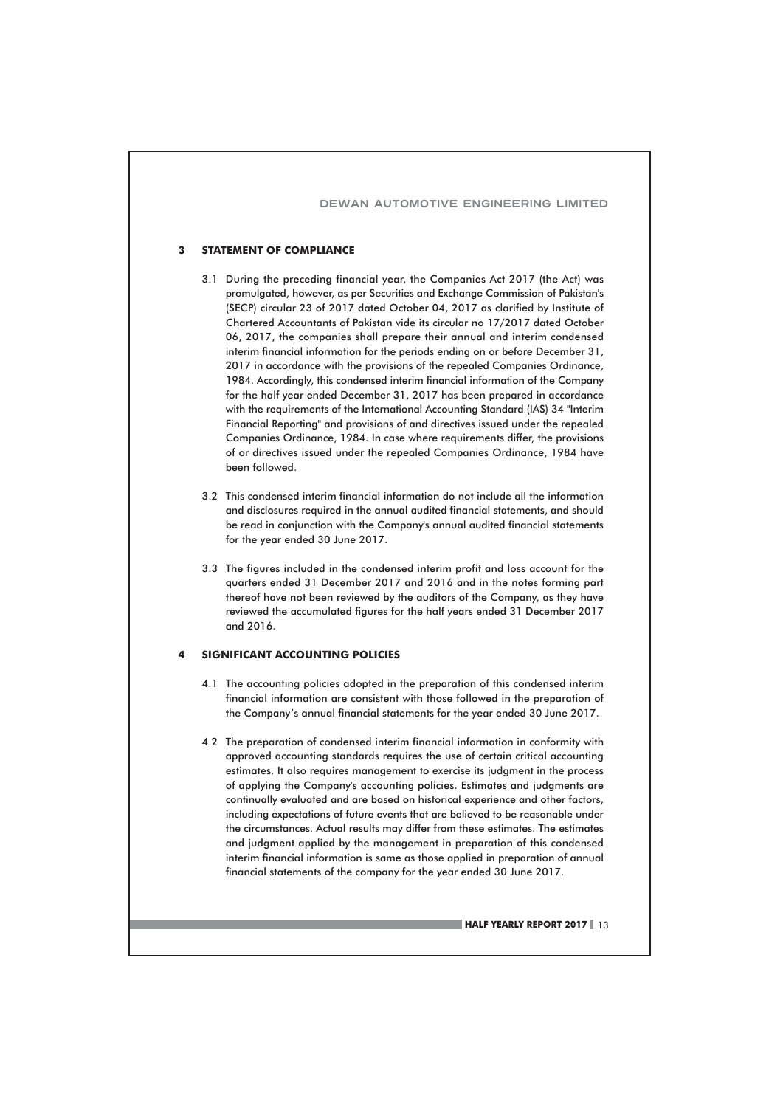#### $\overline{\mathbf{3}}$ **STATEMENT OF COMPLIANCE**

- 3.1 During the preceding financial year, the Companies Act 2017 (the Act) was promulgated, however, as per Securities and Exchange Commission of Pakistan's (SECP) circular 23 of 2017 dated October 04, 2017 as clarified by Institute of Chartered Accountants of Pakistan vide its circular no 17/2017 dated October 06, 2017, the companies shall prepare their annual and interim condensed interim financial information for the periods ending on or before December 31, 2017 in accordance with the provisions of the repealed Companies Ordinance, 1984. Accordingly, this condensed interim financial information of the Company for the half year ended December 31, 2017 has been prepared in accordance with the requirements of the International Accounting Standard (IAS) 34 "Interim Financial Reporting" and provisions of and directives issued under the repealed Companies Ordinance, 1984. In case where requirements differ, the provisions of or directives issued under the repealed Companies Ordinance, 1984 have been followed.
- 3.2 This condensed interim financial information do not include all the information and disclosures required in the annual audited financial statements, and should be read in conjunction with the Company's annual audited financial statements for the year ended 30 June 2017.
- 3.3 The figures included in the condensed interim profit and loss account for the quarters ended 31 December 2017 and 2016 and in the notes forming part thereof have not been reviewed by the auditors of the Company, as they have reviewed the accumulated figures for the half years ended 31 December 2017 and  $2016$

#### **SIGNIFICANT ACCOUNTING POLICIES**

- 4.1 The accounting policies adopted in the preparation of this condensed interim financial information are consistent with those followed in the preparation of the Company's annual financial statements for the year ended 30 June 2017.
- 4.2 The preparation of condensed interim financial information in conformity with approved accounting standards requires the use of certain critical accounting estimates. It also requires management to exercise its judament in the process of applying the Company's accounting policies. Estimates and judgments are continually evaluated and are based on historical experience and other factors, including expectations of future events that are believed to be reasonable under the circumstances. Actual results may differ from these estimates. The estimates and judgment applied by the management in preparation of this condensed interim financial information is same as those applied in preparation of annual financial statements of the company for the year ended 30 June 2017.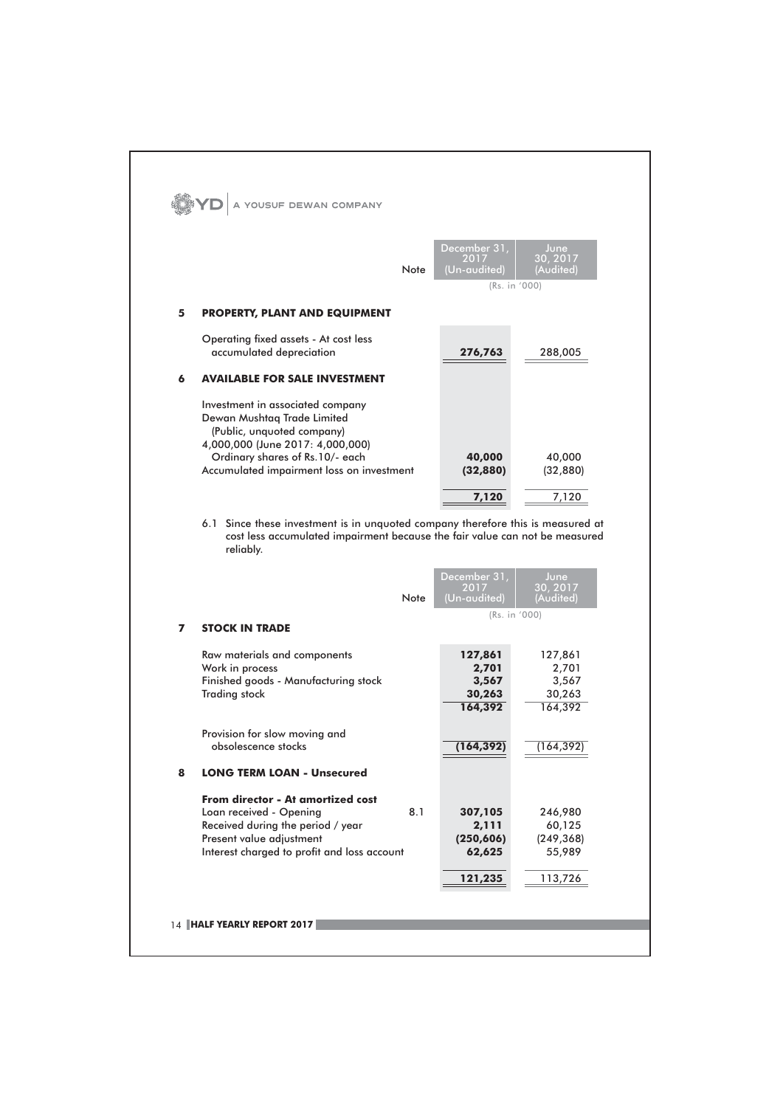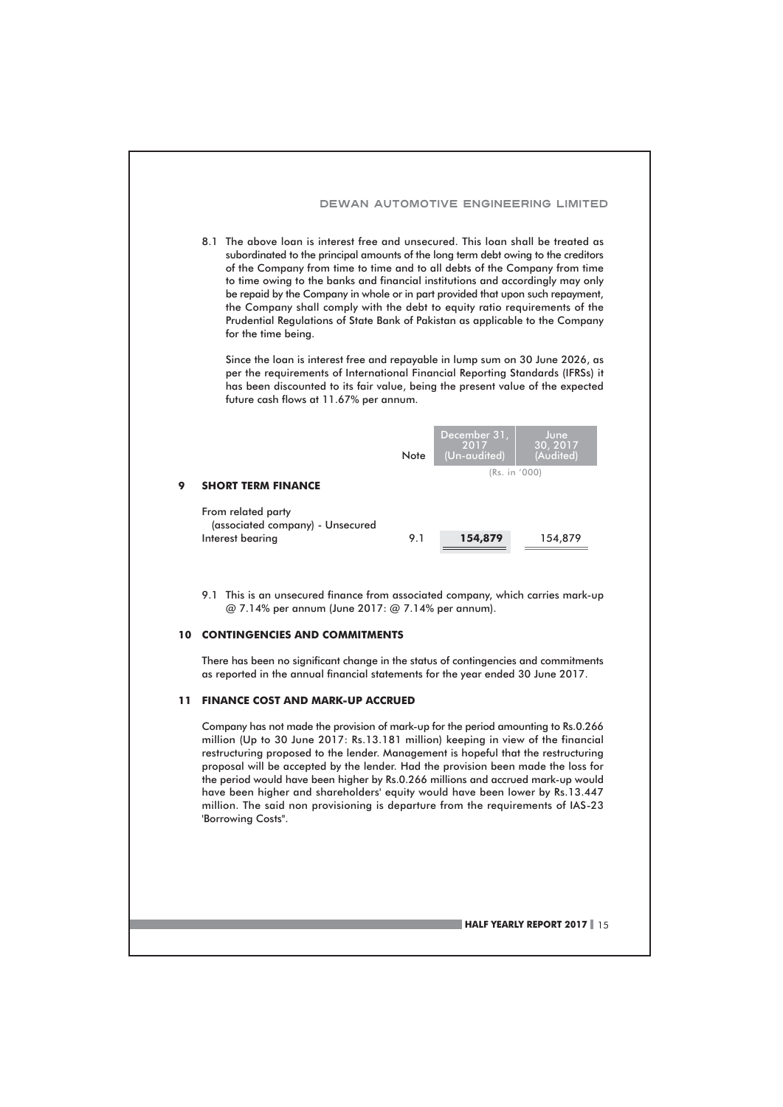

#### **10 CONTINGENCIES AND COMMITMENTS**

There has been no significant change in the status of contingencies and commitments as reported in the annual financial statements for the year ended 30 June 2017.

#### 11 FINANCE COST AND MARK-UP ACCRUED

Company has not made the provision of mark-up for the period amounting to Rs.0.266 million (Up to 30 June 2017: Rs.13.181 million) keeping in view of the financial restructuring proposed to the lender. Management is hopeful that the restructuring proposal will be accepted by the lender. Had the provision been made the loss for the period would have been higher by Rs.0.266 millions and accrued mark-up would have been higher and shareholders' equity would have been lower by Rs.13.447 million. The said non provisioning is departure from the requirements of IAS-23 'Borrowing Costs".